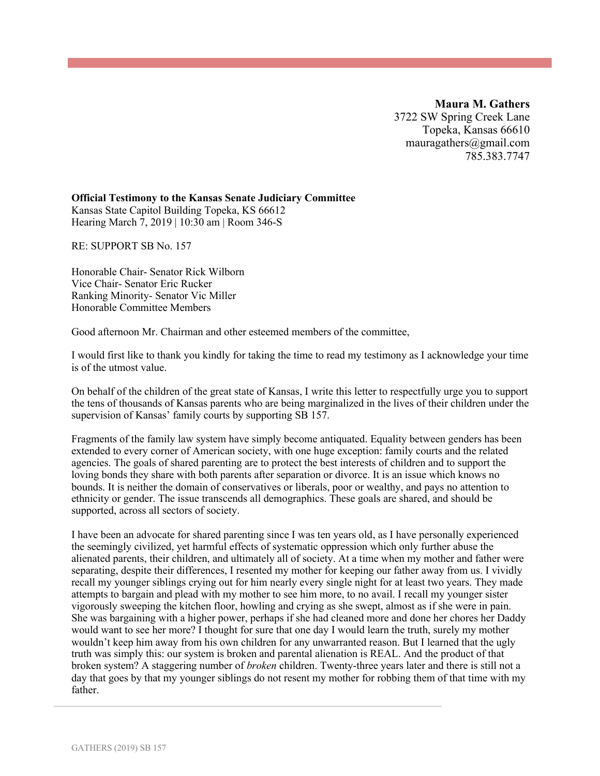**Maura M. Gathers** 3722 SW Spring Creek Lane Topeka, Kansas 66610 mauragathers@gmail.com 785.383.7747

## **Official Testimony to the Kansas Senate Judiciary Committee**

Kansas State Capitol Building Topeka, KS 66612 Hearing March 7, 2019 | 10:30 am | Room 346-S

RE: SUPPORT SB No. 157

Honorable Chair- Senator Rick Wilborn Vice Chair- Senator Eric Rucker Ranking Minority- Senator Vic Miller Honorable Committee Members

Good afternoon Mr. Chairman and other esteemed members of the committee,

I would first like to thank you kindly for taking the time to read my testimony as I acknowledge your time is of the utmost value.

On behalf of the children of the great state of Kansas, I write this letter to respectfully urge you to support the tens of thousands of Kansas parents who are being marginalized in the lives of their children under the supervision of Kansas' family courts by supporting SB 157.

Fragments of the family law system have simply become antiquated. Equality between genders has been extended to every corner of American society, with one huge exception: family courts and the related agencies. The goals of shared parenting are to protect the best interests of children and to support the loving bonds they share with both parents after separation or divorce. It is an issue which knows no bounds. It is neither the domain of conservatives or liberals, poor or wealthy, and pays no attention to ethnicity or gender. The issue transcends all demographics. These goals are shared, and should be supported, across all sectors of society.

I have been an advocate for shared parenting since I was ten years old, as I have personally experienced the seemingly civilized, yet harmful effects of systematic oppression which only further abuse the alienated parents, their children, and ultimately all of society. At a time when my mother and father were separating, despite their differences, I resented my mother for keeping our father away from us. I vividly recall my younger siblings crying out for him nearly every single night for at least two years. They made attempts to bargain and plead with my mother to see him more, to no avail. I recall my younger sister vigorously sweeping the kitchen floor, howling and crying as she swept, almost as if she were in pain. She was bargaining with a higher power, perhaps if she had cleaned more and done her chores her Daddy would want to see her more? I thought for sure that one day I would learn the truth, surely my mother wouldn't keep him away from his own children for any unwarranted reason. But I learned that the ugly truth was simply this: our system is broken and parental alienation is REAL. And the product of that broken system? A staggering number of *broken* children. Twenty-three years later and there is still not a day that goes by that my younger siblings do not resent my mother for robbing them of that time with my father.